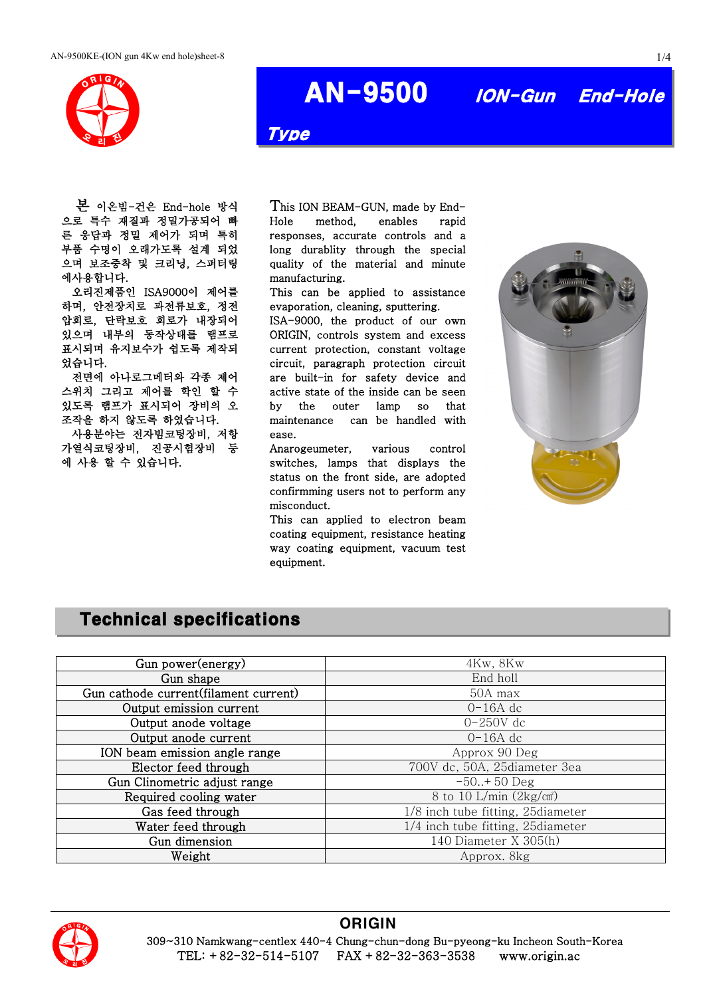

# AN-9500 ION-Gun End-Hole

Type

본 이온빔-건은 End-hole 방식 으로 특수 재질과 정밀가공되어 빠 른 응답과 정밀 제어가 되며 특히 부품 수명이 오래가도록 설계 되었 으며 보조증착 및 크리닝, 스퍼터링 에사용합니다.

오리진제품인 ISA9000이 제어를 하며, 안전장치로 과전류보호, 정전 압회로, 단락보호 회로가 내장되어 있으며 내부의 동작상태를 램프로 표시되며 유지보수가 쉽도록 제작되 었습니다.

전면에 아나로그메터와 각종 제어 스위치 그리고 제어를 학인 할 수 있도록 램프가 표시되어 장비의 오 조작을 하지 않도록 하였습니다.

사용분야는 전자빔코팅장비, 저항 가열식코팅장비, 진공시험장비 등 에 사용 할 수 있습니다.

This ION BEAM-GUN, made by End-Hole method, enables rapid responses, accurate controls and a long durablity through the special quality of the material and minute manufacturing.

This can be applied to assistance evaporation, cleaning, sputtering.

ISA-9000, the product of our own ORIGIN, controls system and excess current protection, constant voltage circuit, paragraph protection circuit are built-in for safety device and active state of the inside can be seen by the outer lamp so that maintenance can be handled with ease.

Anarogeumeter, various control switches, lamps that displays the status on the front side, are adopted confirmming users not to perform any misconduct.

This can applied to electron beam coating equipment, resistance heating way coating equipment, vacuum test equipment.



### Technical specifications

| Gun power(energy)                     | 4Kw, 8Kw                          |  |
|---------------------------------------|-----------------------------------|--|
| Gun shape                             | End holl                          |  |
| Gun cathode current(filament current) | 50A max                           |  |
| Output emission current               | $0-16A$ dc                        |  |
| Output anode voltage                  | $0-250V$ dc                       |  |
| Output anode current                  | $0-16A$ dc                        |  |
| ION beam emission angle range         | Approx 90 Deg                     |  |
| Elector feed through                  | 700V dc, 50A, 25diameter 3ea      |  |
| Gun Clinometric adjust range          | $-50.+50$ Deg                     |  |
| Required cooling water                | 8 to 10 L/min $(2\text{kg/cm}^2)$ |  |
| Gas feed through                      | 1/8 inch tube fitting, 25diameter |  |
| Water feed through                    | 1/4 inch tube fitting, 25diameter |  |
| Gun dimension                         | 140 Diameter X 305(h)             |  |
| Weight                                | Approx. 8kg                       |  |



#### **ORIGIN**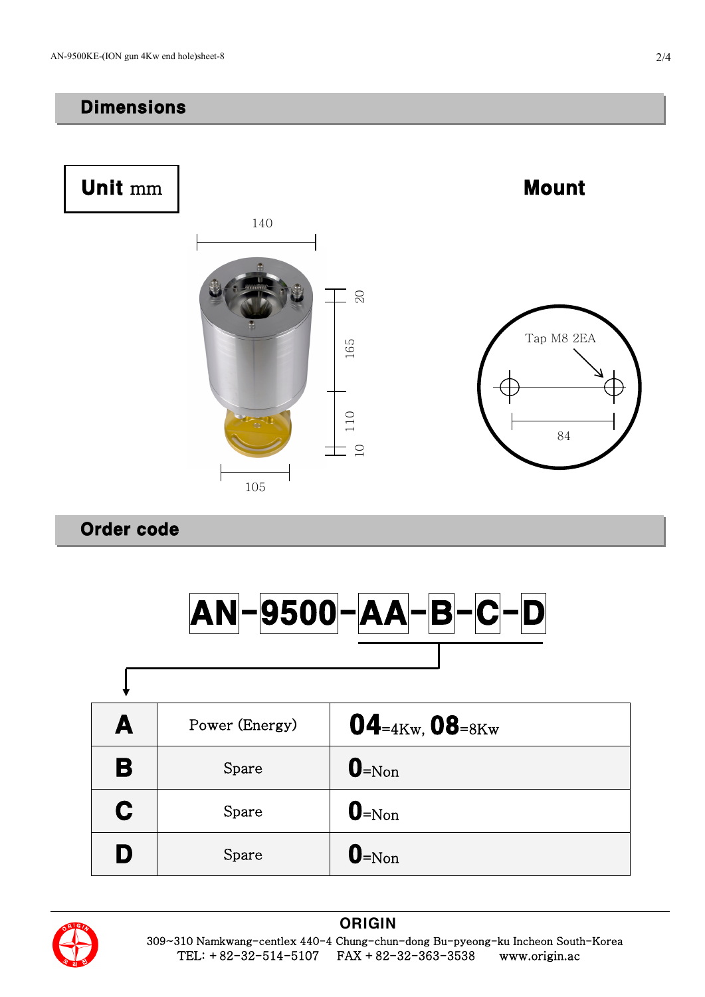## **Dimensions**



## Order code

ſ



| A | Power (Energy) | $04$ = $4$ Kw, $08$ = $8$ Kw |
|---|----------------|------------------------------|
| B | Spare          | $\mathbf{0}$ =Non            |
| C | Spare          | $\mathbf{0}$ =Non            |
| D | Spare          | $\mathbf{0}$ =Non            |



#### **ORIGIN**

 309~310 Namkwang-centlex 440-4 Chung-chun-dong Bu-pyeong-ku Incheon South-Korea TEL: +82-32-514-5107 FAX +82-32-363-3538 www.origin.ac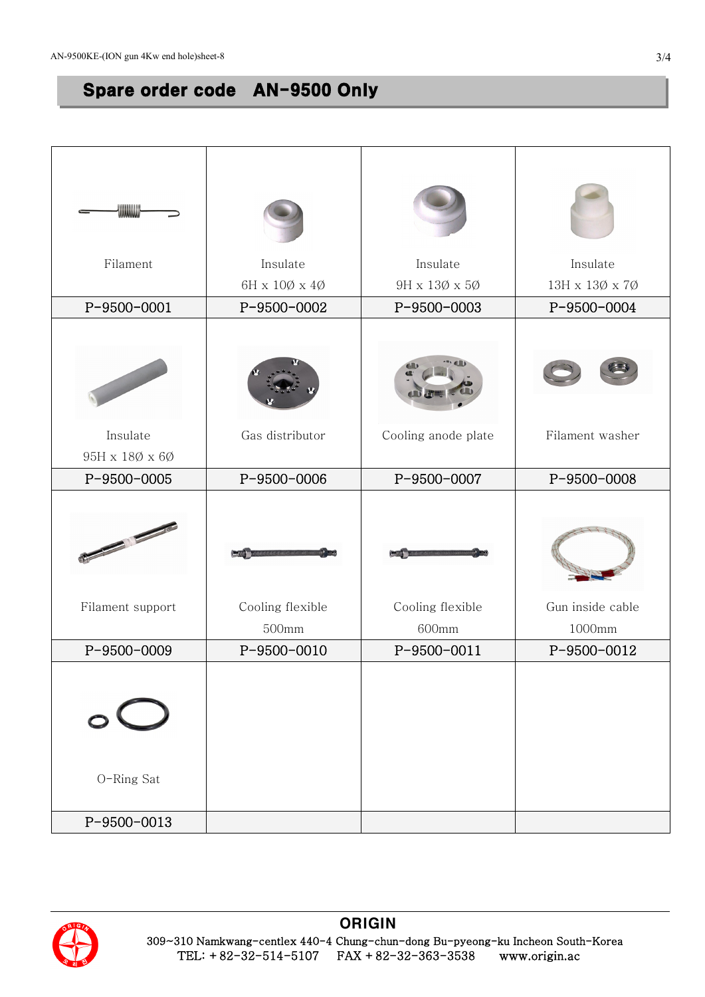# Spare order code AN-9500 Only

| {\\\\\\\\\\\\\\\\<br>Filament                                | Insulate                     | Insulate                  | Insulate                   |
|--------------------------------------------------------------|------------------------------|---------------------------|----------------------------|
|                                                              | $6H \times 10\% \times 4\%$  | 9H x 13Ø x 5Ø             | 13H x 13Ø x 7Ø             |
| P-9500-0001                                                  | P-9500-0002                  | P-9500-0003               | P-9500-0004                |
|                                                              |                              |                           |                            |
| Insulate                                                     | Gas distributor              | Cooling anode plate       | Filament washer            |
| $95H \times 180 \times 60$                                   |                              |                           |                            |
| P-9500-0005                                                  | P-9500-0006                  | P-9500-0007               | P-9500-0008                |
| No. of Concession, Name of Son, or other<br>Filament support | Cooling flexible<br>$500$ mm | Cooling flexible<br>600mm | Gun inside cable<br>1000mm |
| P-9500-0009                                                  | P-9500-0010                  | P-9500-0011               | P-9500-0012                |
| $\circ$<br>O-Ring Sat                                        |                              |                           |                            |
| P-9500-0013                                                  |                              |                           |                            |